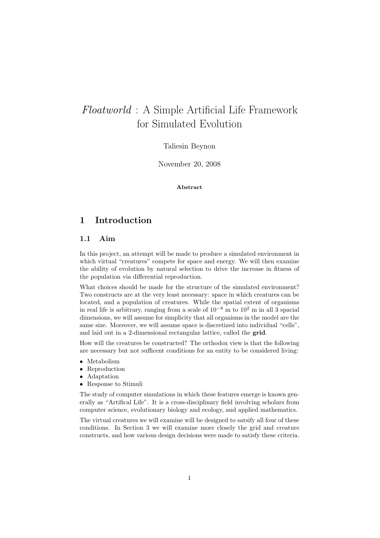# Floatworld : A Simple Artificial Life Framework for Simulated Evolution

# Taliesin Beynon

November 20, 2008

# Abstract

# 1 Introduction

# 1.1 Aim

In this project, an attempt will be made to produce a simulated environment in which virtual "creatures" compete for space and energy. We will then examine the ability of evolution by natural selection to drive the increase in fitness of the population via differential reproduction.

What choices should be made for the structure of the simulated environment? Two constructs are at the very least necessary: space in which creatures can be located, and a population of creatures. While the spatial extent of organisms in real life is arbitrary, ranging from a scale of  $10^{-8}$  m to  $10^2$  m in all 3 spacial dimensions, we will assume for simplicity that all organisms in the model are the same size. Moreover, we will assume space is discretized into individual "cells", and laid out in a 2-dimensional rectangular lattice, called the grid.

How will the creatures be constructed? The orthodox view is that the following are necessary but not sufficent conditions for an entity to be considered living:

- Metabolism
- Reproduction
- Adaptation
- Response to Stimuli

The study of computer simulations in which these features emerge is known generally as "Artifical Life". It is a cross-disciplinary field involving scholars from computer science, evolutionary biology and ecology, and applied mathematics.

The virtual creatures we will examine will be designed to satsify all four of these conditions. In Section 3 we will examine more closely the grid and creature constructs, and how various design decisions were made to satisfy these criteria.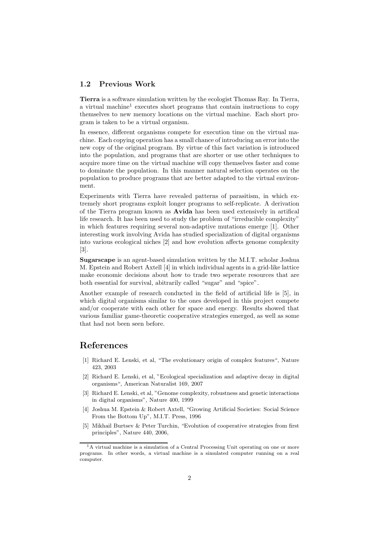# 1.2 Previous Work

Tierra is a software simulation written by the ecologist Thomas Ray. In Tierra, a virtual machine<sup>1</sup> executes short programs that contain instructions to copy themselves to new memory locations on the virtual machine. Each short program is taken to be a virtual organism.

In essence, different organisms compete for execution time on the virtual machine. Each copying operation has a small chance of introducing an error into the new copy of the original program. By virtue of this fact variation is introduced into the population, and programs that are shorter or use other techniques to acquire more time on the virtual machine will copy themselves faster and come to dominate the population. In this manner natural selection operates on the population to produce programs that are better adapted to the virtual environment.

Experiments with Tierra have revealed patterns of parasitism, in which extremely short programs exploit longer programs to self-replicate. A derivation of the Tierra program known as Avida has been used extensively in artifical life research. It has been used to study the problem of "irreducible complexity" in which features requiring several non-adaptive mutations emerge [1]. Other interesting work involving Avida has studied specialization of digital organisms into various ecological niches [2] and how evolution affects genome complexity [3].

Sugarscape is an agent-based simulation written by the M.I.T. scholar Joshua M. Epstein and Robert Axtell [4] in which individual agents in a grid-like lattice make economic decisions about how to trade two seperate resources that are both essential for survival, abitrarily called "sugar" and "spice".

Another example of research conducted in the field of artificial life is [5], in which digital organisms similar to the ones developed in this project compete and/or cooperate with each other for space and energy. Results showed that various familiar game-theoretic cooperative strategies emerged, as well as some that had not been seen before.

# References

- [1] Richard E. Lenski, et al, "The evolutionary origin of complex features", Nature 423, 2003
- [2] Richard E. Lenski, et al, "Ecological specialization and adaptive decay in digital organisms", American Naturalist 169, 2007
- [3] Richard E. Lenski, et al, "Genome complexity, robustness and genetic interactions in digital organisms", Nature 400, 1999
- [4] Joshua M. Epstein & Robert Axtell, "Growing Artificial Societies: Social Science From the Bottom Up", M.I.T. Press, 1996
- [5] Mikhail Burtsev & Peter Turchin, "Evolution of cooperative strategies from first principles", Nature 440, 2006,

<sup>&</sup>lt;sup>1</sup>A virtual machine is a simulation of a Central Processing Unit operating on one or more programs. In other words, a virtual machine is a simulated computer running on a real computer.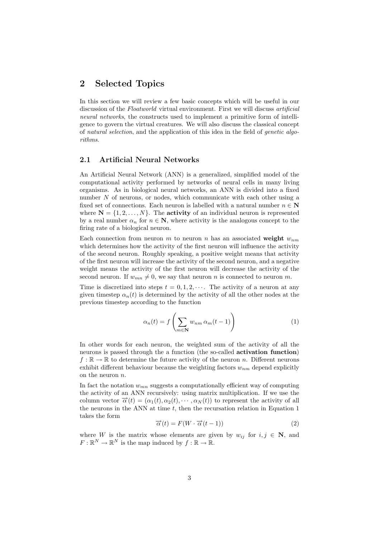# 2 Selected Topics

In this section we will review a few basic concepts which will be useful in our discussion of the *Floatworld* virtual environment. First we will discuss *artificial* neural networks, the constructs used to implement a primitive form of intelligence to govern the virtual creatures. We will also discuss the classical concept of natural selection, and the application of this idea in the field of genetic algorithms.

# 2.1 Artificial Neural Networks

An Artificial Neural Network (ANN) is a generalized, simplified model of the computational activity performed by networks of neural cells in many living organisms. As in biological neural networks, an ANN is divided into a fixed number  $N$  of neurons, or nodes, which communicate with each other using a fixed set of connections. Each neuron is labelled with a natural number  $n \in \mathbb{N}$ where  $N = \{1, 2, ..., N\}$ . The **activity** of an individual neuron is represented by a real number  $\alpha_n$  for  $n \in \mathbb{N}$ , where activity is the analogous concept to the firing rate of a biological neuron.

Each connection from neuron  $m$  to neuron  $n$  has an associated weight  $w_{nm}$ which determines how the activity of the first neuron will influence the activity of the second neuron. Roughly speaking, a positive weight means that activity of the first neuron will increase the activity of the second neuron, and a negative weight means the activity of the first neuron will decrease the activity of the second neuron. If  $w_{mn} \neq 0$ , we say that neuron *n* is connected to neuron *m*.

Time is discretized into steps  $t = 0, 1, 2, \cdots$ . The activity of a neuron at any given timestep  $\alpha_n(t)$  is determined by the activity of all the other nodes at the previous timestep according to the function

$$
\alpha_n(t) = f\left(\sum_{m \in \mathbf{N}} w_{nm} \,\alpha_m(t-1)\right) \tag{1}
$$

In other words for each neuron, the weighted sum of the activity of all the neurons is passed through the a function (the so-called activation function)  $f : \mathbb{R} \to \mathbb{R}$  to determine the future activity of the neuron n. Different neurons exhibit different behaviour because the weighting factors  $w_{nm}$  depend explicitly on the neuron  $n$ .

In fact the notation  $w_{mn}$  suggests a computationally efficient way of computing the activity of an ANN recursively: using matrix multiplication. If we use the column vector  $\vec{\alpha}(t)=(\alpha_1(t), \alpha_2(t), \cdots, \alpha_N(t))$  to represent the activity of all the neurons in the ANN at time  $t$ , then the recursation relation in Equation 1 takes the form  $\overrightarrow{\alpha}(t) = F(W \cdot \overrightarrow{\alpha}(t-1))$  (2)

$$
\overrightarrow{\alpha}(t) = F(W \cdot \overrightarrow{\alpha}(t-1))
$$
\n(2)

where W is the matrix whose elements are given by  $w_{ij}$  for  $i, j \in \mathbb{N}$ , and  $F: \mathbb{R}^N \to \mathbb{R}^N$  is the map induced by  $f: \mathbb{R} \to \mathbb{R}$ .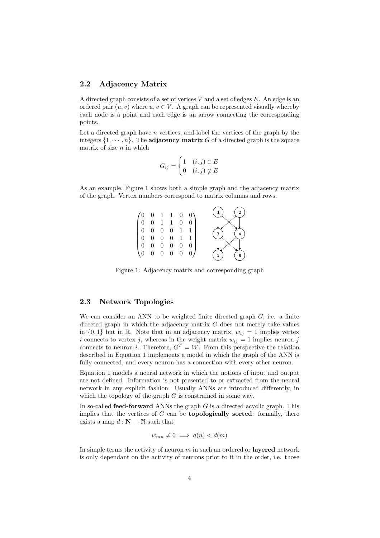### 2.2 Adjacency Matrix

A directed graph consists of a set of verices  $V$  and a set of edges  $E$ . An edge is an ordered pair  $(u, v)$  where  $u, v \in V$ . A graph can be represented visually whereby each node is a point and each edge is an arrow connecting the corresponding points.

Let a directed graph have  $n$  vertices, and label the vertices of the graph by the integers  $\{1, \dots, n\}$ . The adjacency matrix G of a directed graph is the square matrix of size  $n$  in which

$$
G_{ij} = \begin{cases} 1 & (i,j) \in E \\ 0 & (i,j) \notin E \end{cases}
$$

As an example, Figure 1 shows both a simple graph and the adjacency matrix of the graph. Vertex numbers correspond to matrix columns and rows.



Figure 1: Adjacency matrix and corresponding graph

### 2.3 Network Topologies

We can consider an ANN to be weighted finite directed graph  $G$ , i.e. a finite directed graph in which the adjacency matrix  $G$  does not merely take values in  $\{0,1\}$  but in R. Note that in an adjacency matrix,  $w_{ij} = 1$  implies vertex i connects to vertex j, whereas in the weight matrix  $w_{ij} = 1$  implies neuron j connects to neuron i. Therefore,  $G<sup>T</sup> = W$ . From this perspective the relation described in Equation 1 implements a model in which the graph of the ANN is fully connected, and every neuron has a connection with every other neuron.

Equation 1 models a neural network in which the notions of input and output are not defined. Information is not presented to or extracted from the neural network in any explicit fashion. Usually ANNs are introduced differently, in which the topology of the graph  $G$  is constrained in some way.

In so-called **feed-forward** ANNs the graph  $G$  is a directed acyclic graph. This implies that the vertices of  $G$  can be **topologically sorted**: formally, there exists a map  $d : \mathbf{N} \to \mathbb{N}$  such that

$$
w_{mn} \neq 0 \implies d(n) < d(m)
$$

In simple terms the activity of neuron  $m$  in such an ordered or layered network is only dependant on the activity of neurons prior to it in the order, i.e. those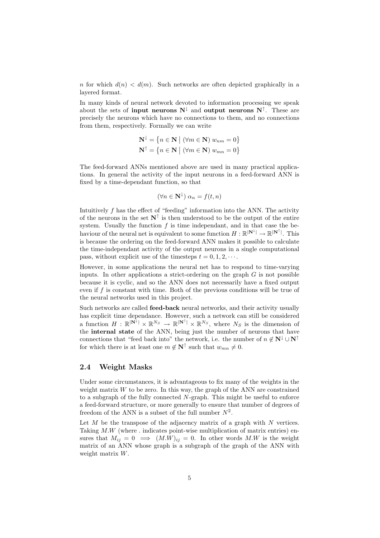n for which  $d(n) < d(m)$ . Such networks are often depicted graphically in a layered format.

In many kinds of neural network devoted to information processing we speak about the sets of **input neurons**  $N^{\downarrow}$  and **output neurons**  $N^{\uparrow}$ . These are precisely the neurons which have no connections to them, and no connections from them, respectively. Formally we can write

$$
\mathbf{N}^{\downarrow} = \{ n \in \mathbf{N} \mid (\forall m \in \mathbf{N}) \ w_{nm} = 0 \}
$$

$$
\mathbf{N}^{\uparrow} = \{ n \in \mathbf{N} \mid (\forall m \in \mathbf{N}) \ w_{mn} = 0 \}
$$

The feed-forward ANNs mentioned above are used in many practical applications. In general the activity of the input neurons in a feed-forward ANN is fixed by a time-dependant function, so that

$$
(\forall n \in \mathbf{N}^{\downarrow}) \; \alpha_n = f(t, n)
$$

Intuitively f has the effect of "feeding" information into the ANN. The activity of the neurons in the set  $N^{\uparrow}$  is then understood to be the output of the entire system. Usually the function  $f$  is time independant, and in that case the behaviour of the neural net is equivalent to some function  $H: \mathbb{R}^{|\mathbf{N}^{\perp}|} \to \mathbb{R}^{|\mathbf{N}^{\uparrow}|}$ . This is because the ordering on the feed-forward ANN makes it possible to calculate the time-independant activity of the output neurons in a single computational pass, without explicit use of the timesteps  $t = 0, 1, 2, \cdots$ .

However, in some applications the neural net has to respond to time-varying inputs. In other applications a strict-ordering on the graph  $G$  is not possible because it is cyclic, and so the ANN does not necessarily have a fixed output even if f is constant with time. Both of the previous conditions will be true of the neural networks used in this project.

Such networks are called feed-back neural networks, and their activity usually has explicit time dependance. However, such a network can still be considered a function  $H : \mathbb{R}^{|N^{\downarrow}|} \times \mathbb{R}^{N_S} \to \mathbb{R}^{|N^{\uparrow}|} \times \mathbb{R}^{N_S}$ , where  $N_S$  is the dimension of the internal state of the ANN, being just the number of neurons that have connections that "feed back into" the network, i.e. the number of  $n \notin N^{\downarrow} \cup N^{\uparrow}$ for which there is at least one  $m \notin \mathbf{N}^{\uparrow}$  such that  $w_{mn} \neq 0$ .

# 2.4 Weight Masks

Under some circumstances, it is advantageous to fix many of the weights in the weight matrix  $W$  to be zero. In this way, the graph of the ANN are constrained to a subgraph of the fully connected N-graph. This might be useful to enforce a feed-forward structure, or more generally to ensure that number of degrees of freedom of the ANN is a subset of the full number  $N^2$ .

Let  $M$  be the transpose of the adjacency matrix of a graph with  $N$  vertices. Taking  $M.W$  (where  $\ldots$  indicates point-wise multiplication of matrix entries) ensures that  $M_{ij} = 0 \implies (M.W)_{ij} = 0$ . In other words M.W is the weight matrix of an ANN whose graph is a subgraph of the graph of the ANN with weight matrix W.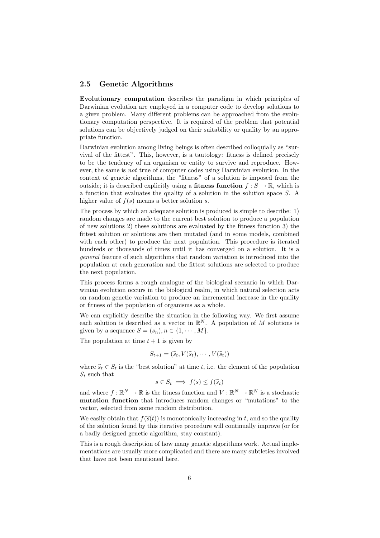# 2.5 Genetic Algorithms

Evolutionary computation describes the paradigm in which principles of Darwinian evolution are employed in a computer code to develop solutions to a given problem. Many different problems can be approached from the evolutionary computation perspective. It is required of the problem that potential solutions can be objectively judged on their suitability or quality by an appropriate function.

Darwinian evolution among living beings is often described colloquially as "survival of the fittest". This, however, is a tautology: fitness is defined precisely to be the tendency of an organism or entity to survive and reproduce. However, the same is not true of computer codes using Darwinian evolution. In the context of genetic algorithms, the "fitness" of a solution is imposed from the outside; it is described explicitly using a **fitness function**  $f : S \to \mathbb{R}$ , which is a function that evaluates the quality of a solution in the solution space S. A higher value of  $f(s)$  means a better solution s.

The process by which an adequate solution is produced is simple to describe: 1) random changes are made to the current best solution to produce a population of new solutions 2) these solutions are evaluated by the fitness function 3) the fittest solution or solutions are then mutated (and in some models, combined with each other) to produce the next population. This procedure is iterated hundreds or thousands of times until it has converged on a solution. It is a general feature of such algorithms that random variation is introduced into the population at each generation and the fittest solutions are selected to produce the next population.

This process forms a rough analogue of the biological scenario in which Darwinian evolution occurs in the biological realm, in which natural selection acts on random genetic variation to produce an incremental increase in the quality or fitness of the population of organisms as a whole.

We can explicitly describe the situation in the following way. We first assume each solution is described as a vector in  $\mathbb{R}^N$ . A population of M solutions is given by a sequence  $S = (s_n), n \in \{1, \dots, M\}.$ 

The population at time  $t + 1$  is given by

$$
S_{t+1} = (\widehat{s}_t, V(\widehat{s}_t), \cdots, V(\widehat{s}_t))
$$

where  $\widehat{s}_t \in S_t$  is the "best solution" at time t, i.e. the element of the population  $S_t$  such that

$$
s \in S_t \implies f(s) \le f(\widehat{s}_t)
$$

and where  $f : \mathbb{R}^N \to \mathbb{R}$  is the fitness function and  $V : \mathbb{R}^N \to \mathbb{R}^N$  is a stochastic mutation function that introduces random changes or "mutations" to the vector, selected from some random distribution.

We easily obtain that  $f(\hat{s}(t))$  is monotonically increasing in t, and so the quality of the solution found by this iterative procedure will continually improve (or for a badly designed genetic algorithm, stay constant).

This is a rough description of how many genetic algorithms work. Actual implementations are usually more complicated and there are many subtleties involved that have not been mentioned here.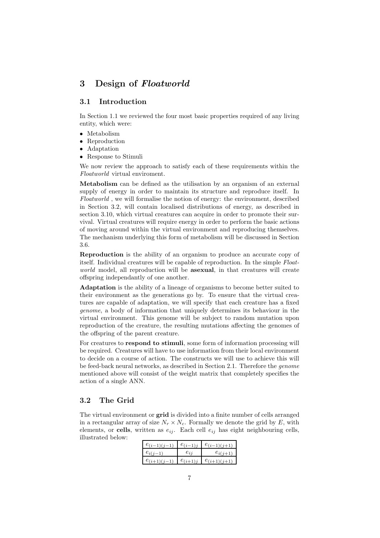# 3 Design of Floatworld

# 3.1 Introduction

In Section 1.1 we reviewed the four most basic properties required of any living entity, which were:

- Metabolism
- Reproduction
- Adaptation
- Response to Stimuli

We now review the approach to satisfy each of these requirements within the Floatworld virtual enviroment.

Metabolism can be defined as the utilisation by an organism of an external supply of energy in order to maintain its structure and reproduce itself. In Floatworld , we will formalise the notion of energy: the environment, described in Section 3.2, will contain localised distributions of energy, as described in section 3.10, which virtual creatures can acquire in order to promote their survival. Virtual creatures will require energy in order to perform the basic actions of moving around within the virtual environment and reproducing themselves. The mechanism underlying this form of metabolism will be discussed in Section 3.6.

Reproduction is the ability of an organism to produce an accurate copy of itself. Individual creatures will be capable of reproduction. In the simple Floatworld model, all reproduction will be **asexual**, in that creatures will create offspring independantly of one another.

Adaptation is the ability of a lineage of organisms to become better suited to their environment as the generations go by. To ensure that the virtual creatures are capable of adaptation, we will specify that each creature has a fixed genome, a body of information that uniquely determines its behaviour in the virtual environment. This genome will be subject to random mutation upon reproduction of the creature, the resulting mutations affecting the genomes of the offspring of the parent creature.

For creatures to respond to stimuli, some form of information processing will be required. Creatures will have to use information from their local environment to decide on a course of action. The constructs we will use to achieve this will be feed-back neural networks, as described in Section 2.1. Therefore the genome mentioned above will consist of the weight matrix that completely specifies the action of a single ANN.

# 3.2 The Grid

The virtual environment or grid is divided into a finite number of cells arranged in a rectangular array of size  $N_r \times N_c$ . Formally we denote the grid by E, with elements, or cells, written as  $e_{ij}$ . Each cell  $e_{ij}$  has eight neighbouring cells, illustrated below:

| $e_{(i-1)(j-1)}$ | $e_{(i-1)j}$ | $e_{(i-1)(j+1)}$ |
|------------------|--------------|------------------|
| $e_{i(i-1)}$     | $e_{ij}$     | $e_{i(j+1)}$     |
| $e_{(i+1)(j-1)}$ | $e_{(i+1)j}$ | $e_{(i+1)(j+1)}$ |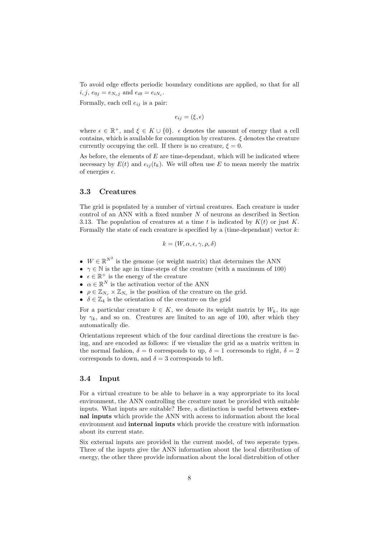To avoid edge effects periodic boundary conditions are applied, so that for all  $i, j, e_{0j} = e_{N_rj}$  and  $e_{i0} = e_{iN_c}$ .

Formally, each cell  $e_{ij}$  is a pair:

 $e_{ij} = (\xi, \epsilon)$ 

where  $\epsilon \in \mathbb{R}^+$ , and  $\xi \in K \cup \{0\}$ ,  $\epsilon$  denotes the amount of energy that a cell contains, which is available for consumption by creatures.  $\xi$  denotes the creature currently occupying the cell. If there is no creature,  $\xi = 0$ .

As before, the elements of  $E$  are time-dependant, which will be indicated where necessary by  $E(t)$  and  $e_{ij}(t_k)$ . We will often use E to mean merely the matrix of energies  $\epsilon$ .

### 3.3 Creatures

The grid is populated by a number of virtual creatures. Each creature is under control of an ANN with a fixed number  $N$  of neurons as described in Section 3.13. The population of creatures at a time t is indicated by  $K(t)$  or just K. Formally the state of each creature is specified by a (time-dependant) vector  $k$ :

$$
k = (W, \alpha, \epsilon, \gamma, \rho, \delta)
$$

- $W \in \mathbb{R}^{N^2}$  is the genome (or weight matrix) that determines the ANN
- $\gamma \in \mathbb{N}$  is the age in time-steps of the creature (with a maximum of 100)
- $\epsilon \in \mathbb{R}^+$  is the energy of the creature
- $\alpha \in \mathbb{R}^N$  is the activation vector of the ANN
- $\rho \in \mathbb{Z}_{N_r} \times \mathbb{Z}_{N_c}$  is the position of the creature on the grid.
- $\delta \in \mathbb{Z}_4$  is the orientation of the creature on the grid

For a particular creature  $k \in K$ , we denote its weight matrix by  $W_k$ , its age by  $\gamma_k$ , and so on. Creatures are limited to an age of 100, after which they automatically die.

Orientations represent which of the four cardinal directions the creature is facing, and are encoded as follows: if we visualize the grid as a matrix written in the normal fashion,  $\delta = 0$  corresponds to up,  $\delta = 1$  corresonds to right,  $\delta = 2$ corresponds to down, and  $\delta = 3$  corresponds to left.

# 3.4 Input

For a virtual creature to be able to behave in a way approrpriate to its local environment, the ANN controlling the creature must be provided with suitable inputs. What inputs are suitable? Here, a distinction is useful between external inputs which provide the ANN with access to information about the local environment and internal inputs which provide the creature with information about its current state.

Six external inputs are provided in the current model, of two seperate types. Three of the inputs give the ANN information about the local distribution of energy, the other three provide information about the local distrubition of other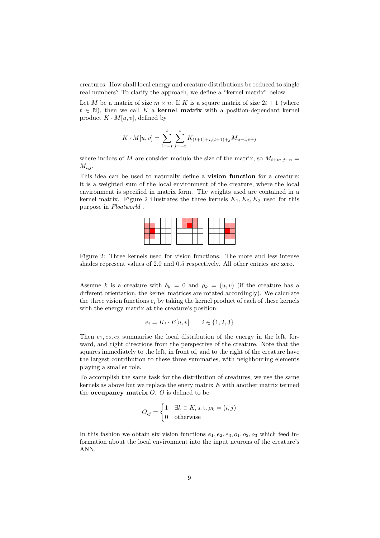creatures. How shall local energy and creature distributions be reduced to single real numbers? To clarify the approach, we define a "kernel matrix" below.

Let M be a matrix of size  $m \times n$ . If K is a square matrix of size  $2t + 1$  (where  $t \in \mathbb{N}$ , then we call K a **kernel matrix** with a position-dependant kernel product  $K \cdot M[u, v]$ , defined by

$$
K \cdot M[u, v] = \sum_{i=-t}^{t} \sum_{j=-t}^{t} K_{(t+1)+i,(t+1)+j} M_{u+i,v+j}
$$

where indices of M are consider modulo the size of the matrix, so  $M_{i+m,j+n}$  =  $M_{i,j}$ .

This idea can be used to naturally define a vision function for a creature: it is a weighted sum of the local environment of the creature, where the local environment is specified in matrix form. The weights used are contained in a kernel matrix. Figure 2 illustrates the three kernels  $K_1, K_2, K_3$  used for this purpose in Floatworld .



Figure 2: Three kernels used for vision functions. The more and less intense shades represent values of 2.0 and 0.5 respectively. All other entries are zero.

Assume k is a creature with  $\delta_k = 0$  and  $\rho_k = (u, v)$  (if the creature has a different orientation, the kernel matrices are rotated accordingly). We calculate the three vision functions  $e_i$  by taking the kernel product of each of these kernels with the energy matrix at the creature's position:

$$
e_i = K_i \cdot E[u, v] \qquad i \in \{1, 2, 3\}
$$

Then  $e_1, e_2, e_3$  summarise the local distribution of the energy in the left, forward, and right directions from the perspective of the creature. Note that the squares immediately to the left, in front of, and to the right of the creature have the largest contribution to these three summaries, with neighbouring elements playing a smaller role.

To accomplish the same task for the distribution of creatures, we use the same kernels as above but we replace the enery matrix  $E$  with another matrix termed the **occupancy matrix**  $O$ .  $O$  is defined to be

$$
O_{ij} = \begin{cases} 1 & \exists k \in K, \text{s.t. } \rho_k = (i, j) \\ 0 & \text{otherwise} \end{cases}
$$

In this fashion we obtain six vision functions  $e_1, e_2, e_3, o_1, o_2, o_3$  which feed information about the local environment into the input neurons of the creature's ANN.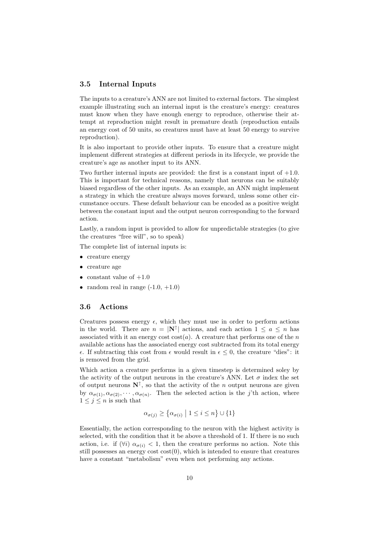# 3.5 Internal Inputs

The inputs to a creature's ANN are not limited to external factors. The simplest example illustrating such an internal input is the creature's energy: creatures must know when they have enough energy to reproduce, otherwise their attempt at reproduction might result in premature death (reproduction entails an energy cost of 50 units, so creatures must have at least 50 energy to survive reproduction).

It is also important to provide other inputs. To ensure that a creature might implement different strategies at different periods in its lifecycle, we provide the creature's age as another input to its ANN.

Two further internal inputs are provided: the first is a constant input of  $+1.0$ . This is important for technical reasons, namely that neurons can be suitably biased regardless of the other inputs. As an example, an ANN might implement a strategy in which the creature always moves forward, unless some other circumstance occurs. These default behaviour can be encoded as a positive weight between the constant input and the output neuron corresponding to the forward action.

Lastly, a random input is provided to allow for unpredictable strategies (to give the creatures "free will", so to speak)

The complete list of internal inputs is:

- creature energy
- creature age
- constant value of  $+1.0$
- random real in range  $(-1.0, +1.0)$

# 3.6 Actions

Creatures possess energy  $\epsilon$ , which they must use in order to perform actions in the world. There are  $n = |\mathbf{N}^{\uparrow}|$  actions, and each action  $1 \leq a \leq n$  has associated with it an energy cost  $cost(a)$ . A creature that performs one of the n available actions has the associated energy cost subtracted from its total energy  $\epsilon$ . If subtracting this cost from  $\epsilon$  would result in  $\epsilon \leq 0$ , the creature "dies": it is removed from the grid.

Which action a creature performs in a given timestep is determined soley by the activity of the output neurons in the creature's ANN. Let  $\sigma$  index the set of output neurons  $N^{\uparrow}$ , so that the activity of the *n* output neurons are given by  $\alpha_{\sigma(1)}, \alpha_{\sigma(2)}, \cdots, \alpha_{\sigma(n)}$ . Then the selected action is the j'th action, where  $1 \leq j \leq n$  is such that

$$
\alpha_{\sigma(j)} \ge \left\{ \alpha_{\sigma(i)} \; \middle| \; 1 \le i \le n \right\} \cup \{1\}
$$

Essentially, the action corresponding to the neuron with the highest activity is selected, with the condition that it be above a threshold of 1. If there is no such action, i.e. if  $(\forall i)$   $\alpha_{\sigma(i)} < 1$ , then the creature performs no action. Note this still possesses an energy cost  $cost(0)$ , which is intended to ensure that creatures have a constant "metabolism" even when not performing any actions.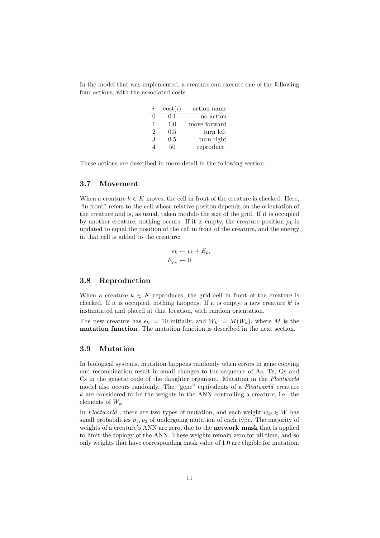In the model that was implemented, a creature can execute one of the following four actions, with the associated costs

| I, | $\cos(t)$ | action name  |
|----|-----------|--------------|
|    | 0.1       | no action    |
| 1  | 1.0       | move forward |
| 2  | 0.5       | turn left    |
| 3  | 0.5       | turn right   |
|    | 50        | reproduce    |

These actions are described in more detail in the following section.

### 3.7 Movement

When a creature  $k \in K$  moves, the cell in front of the creature is checked. Here, "in front" refers to the cell whose relative positon depends on the orientation of the creature and is, as usual, taken modulo the size of the grid. If it is occupied by another creature, nothing occurs. If it is empty, the creature position  $\rho_k$  is updated to equal the position of the cell in front of the creature, and the energy in that cell is added to the creature:

$$
\epsilon_k \leftarrow \epsilon_k + E_{\rho_k}
$$

$$
E_{\rho_k} \leftarrow 0
$$

### 3.8 Reproduction

When a creature  $k \in K$  reproduces, the grid cell in front of the creature is checked. If it is occupied, nothing happens. If it is empty, a new creature  $k'$  is instantiated and placed at that location, with random orientation.

The new creature has  $\epsilon_{k'} = 10$  initially, and  $W_{k'} = M(W_k)$ , where M is the mutation function. The mutation function is described in the next section.

# 3.9 Mutation

In biological systems, mutation happens randomly when errors in gene copying and recombination result in small changes to the sequence of As, Ts, Gs and Cs in the genetic code of the daughter organism. Mutation in the Floatworld model also occurs randomly. The "gene" equivalents of a Floatworld creature  $k$  are considered to be the weights in the ANN controlling a creature, i.e. the elements of  $W_k$ .

In Floatworld, there are two types of mutation, and each weight  $w_{ij} \in W$  has small probabilities  $p_1, p_2$  of undergoing mutation of each type. The majority of weights of a creature's ANN are zero, due to the **network mask** that is applied to limit the toplogy of the ANN. These weights remain zero for all time, and so only weights that have corresponding mask value of 1.0 are eligible for mutation.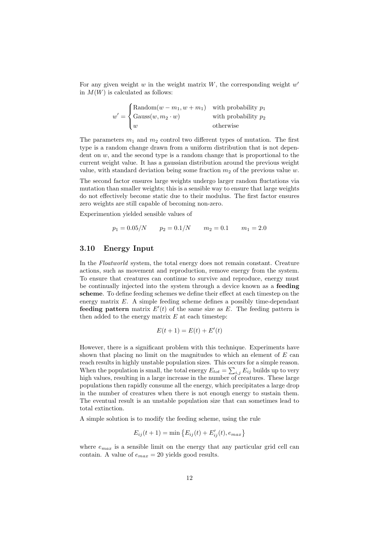For any given weight w in the weight matrix  $W$ , the corresponding weight  $w'$ in  $M(W)$  is calculated as follows:

$$
w' = \begin{cases} \text{Random}(w - m_1, w + m_1) & \text{with probability } p_1 \\ \text{Gauss}(w, m_2 \cdot w) & \text{with probability } p_2 \\ w & \text{otherwise} \end{cases}
$$

The parameters  $m_1$  and  $m_2$  control two different types of mutation. The first type is a random change drawn from a uniform distribution that is not dependent on  $w$ , and the second type is a random change that is proportional to the current weight value. It has a gaussian distribution around the previous weight value, with standard deviation being some fraction  $m_2$  of the previous value w.

The second factor ensures large weights undergo larger random fluctations via mutation than smaller weights; this is a sensible way to ensure that large weights do not effectively become static due to their modulus. The first factor ensures zero weights are still capable of becoming non-zero.

Experimention yielded sensible values of

$$
p_1 = 0.05/N \qquad p_2 = 0.1/N \qquad m_2 = 0.1 \qquad m_1 = 2.0
$$

# 3.10 Energy Input

In the Floatworld system, the total energy does not remain constant. Creature actions, such as movement and reproduction, remove energy from the system. To ensure that creatures can continue to survive and reproduce, energy must be continually injected into the system through a device known as a feeding scheme. To define feeding schemes we define their effect at each timestep on the energy matrix  $E$ . A simple feeding scheme defines a possibly time-dependant feeding pattern matrix  $E'(t)$  of the same size as E. The feeding pattern is then added to the energy matrix  $E$  at each timestep:

$$
E(t+1) = E(t) + E'(t)
$$

However, there is a significant problem with this technique. Experiments have shown that placing no limit on the magnitudes to which an element of  $E$  can reach results in highly unstable population sizes. This occurs for a simple reason. When the population is small, the total energy  $E_{tot} = \sum_{i,j} E_{ij}$  builds up to very high values, resulting in a large increase in the number of creatures. These large populations then rapidly consume all the energy, which precipitates a large drop in the number of creatures when there is not enough energy to sustain them. The eventual result is an unstable population size that can sometimes lead to total extinction.

A simple solution is to modify the feeding scheme, using the rule

$$
E_{ij}(t+1) = \min \{ E_{ij}(t) + E'_{ij}(t), e_{max} \}
$$

where  $e_{max}$  is a sensible limit on the energy that any particular grid cell can contain. A value of  $e_{max} = 20$  yields good results.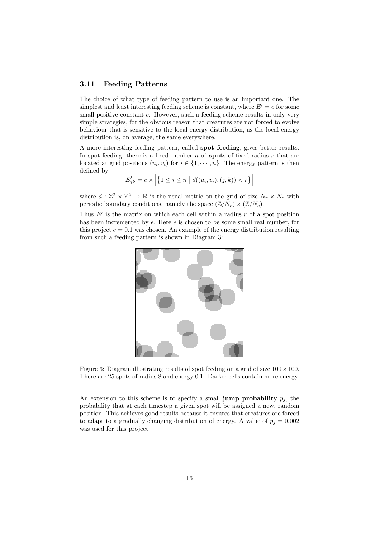# 3.11 Feeding Patterns

The choice of what type of feeding pattern to use is an important one. The simplest and least interesting feeding scheme is constant, where  $E' = c$  for some small positive constant c. However, such a feeding scheme results in only very simple strategies, for the obvious reason that creatures are not forced to evolve behaviour that is sensitive to the local energy distribution, as the local energy distribution is, on average, the same everywhere.

A more interesting feeding pattern, called spot feeding, gives better results. In spot feeding, there is a fixed number n of **spots** of fixed radius r that are located at grid positions  $(u_i, v_i)$  for  $i \in \{1, \dots, n\}$ . The energy pattern is then defined by

$$
E'_{jk} = e \times \left| \{ 1 \leq i \leq n \mid d((u_i, v_i), (j, k)) < r \} \right|
$$

where  $d : \mathbb{Z}^2 \times \mathbb{Z}^2 \to \mathbb{R}$  is the usual metric on the grid of size  $N_r \times N_c$  with periodic boundary conditions, namely the space  $(\mathbb{Z}/N_r) \times (\mathbb{Z}/N_c)$ .

Thus  $E'$  is the matrix on which each cell within a radius r of a spot position has been incremented by e. Here e is chosen to be some small real number, for this project  $e = 0.1$  was chosen. An example of the energy distribution resulting from such a feeding pattern is shown in Diagram 3:



Figure 3: Diagram illustrating results of spot feeding on a grid of size  $100 \times 100$ . There are 25 spots of radius 8 and energy 0.1. Darker cells contain more energy.

An extension to this scheme is to specify a small **jump probability**  $p_j$ , the probability that at each timestep a given spot will be assigned a new, random position. This achieves good results because it ensures that creatures are forced to adapt to a gradually changing distribution of energy. A value of  $p_j = 0.002$ was used for this project.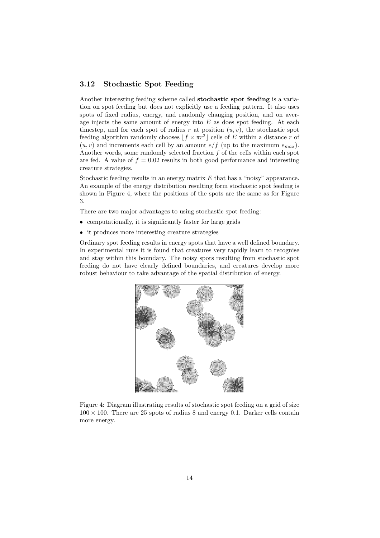# 3.12 Stochastic Spot Feeding

Another interesting feeding scheme called stochastic spot feeding is a variation on spot feeding but does not explicitly use a feeding pattern. It also uses spots of fixed radius, energy, and randomly changing position, and on average injects the same amount of energy into  $E$  as does spot feeding. At each timestep, and for each spot of radius r at position  $(u, v)$ , the stochastic spot feeding algorithm randomly chooses  $|f \times \pi r^2|$  cells of E within a distance r of  $(u, v)$  and increments each cell by an amount  $e/f$  (up to the maximum  $e_{max}$ ). Another words, some randomly selected fraction  $f$  of the cells within each spot are fed. A value of  $f = 0.02$  results in both good performance and interesting creature strategies.

Stochastic feeding results in an energy matrix  $E$  that has a "noisy" appearance. An example of the energy distribution resulting form stochastic spot feeding is shown in Figure 4, where the positions of the spots are the same as for Figure 3.

There are two major advantages to using stochastic spot feeding:

- computationally, it is significantly faster for large grids
- it produces more interesting creature strategies

Ordinary spot feeding results in energy spots that have a well defined boundary. In experimental runs it is found that creatures very rapidly learn to recognise and stay within this boundary. The noisy spots resulting from stochastic spot feeding do not have clearly defined boundaries, and creatures develop more robust behaviour to take advantage of the spatial distribution of energy.



Figure 4: Diagram illustrating results of stochastic spot feeding on a grid of size  $100 \times 100$ . There are 25 spots of radius 8 and energy 0.1. Darker cells contain more energy.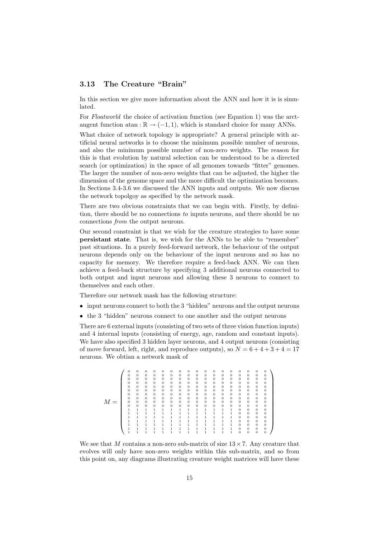# 3.13 The Creature "Brain"

In this section we give more information about the ANN and how it is is simulated.

For Floatworld the choice of activation function (see Equation 1) was the arctangent function atan :  $\mathbb{R} \to (-1, 1)$ , which is standard choice for many ANNs.

What choice of network topology is appropriate? A general principle with artificial neural networks is to choose the minimum possible number of neurons, and also the minimum possible number of non-zero weights. The reason for this is that evolution by natural selection can be understood to be a directed search (or optimization) in the space of all genomes towards "fitter" genomes. The larger the number of non-zero weights that can be adjusted, the higher the dimension of the genome space and the more difficult the optimization becomes. In Sections 3.4-3.6 we discussed the ANN inputs and outputs. We now discuss the network topolgoy as specified by the network mask.

There are two obvious constraints that we can begin with. Firstly, by definition, there should be no connections to inputs neurons, and there should be no connections from the output neurons.

Our second constraint is that we wish for the creature strategies to have some persistant state. That is, we wish for the ANNs to be able to "remember" past situations. In a purely feed-forward network, the behaviour of the output neurons depends only on the behaviour of the input neurons and so has no capacity for memory. We therefore require a feed-back ANN. We can then achieve a feed-back structure by specifying 3 additional neurons connected to both output and input neurons and allowing these 3 neurons to connect to themselves and each other.

Therefore our network mask has the following structure:

- input neurons connect to both the 3 "hidden" neurons and the output neurons
- the 3 "hidden" neurons connect to one another and the output neurons

There are 6 external inputs (consisting of two sets of three vision function inputs) and 4 internal inputs (consisting of energy, age, random and constant inputs). We have also specified 3 hidden layer neurons, and 4 output neurons (consisting of move forward, left, right, and reproduce outputs), so  $N = 6 + 4 + 3 + 4 = 17$ neurons. We obtian a network mask of

|       | 0              | $\theta$     | $\Omega$       | $\Omega$     | $\mathbf{0}$ | $\theta$     | $\Omega$     | $\Omega$       | $\theta$     | $\mathbf{0}$   | $\mathbf{0}$   | $\theta$ | $\Omega$     | $\Omega$       | $\theta$     | $\theta$ | $\Omega$     |  |
|-------|----------------|--------------|----------------|--------------|--------------|--------------|--------------|----------------|--------------|----------------|----------------|----------|--------------|----------------|--------------|----------|--------------|--|
|       | $\theta$       | $\theta$     | $\Omega$       | $\Omega$     | $\theta$     | $\theta$     | $\Omega$     | $\mathbf{0}$   | $\theta$     | $\Omega$       | 0              | $\theta$ | $\Omega$     | $\Omega$       | $\theta$     | $\theta$ | $\Omega$     |  |
|       | $\Omega$       | $\theta$     | $\overline{0}$ | $\Omega$     | $\theta$     | $\Omega$     | $\Omega$     | $\mathbf{0}$   | $\theta$     | $\overline{0}$ | $\overline{0}$ | $\theta$ | $\Omega$     | $\overline{0}$ | $\theta$     | $\theta$ | $\mathbf{0}$ |  |
|       | $\Omega$       | $\mathbf 0$  | $\overline{0}$ | $\Omega$     | $\theta$     | $\theta$     | $\theta$     | $\mathbf{0}$   | $\theta$     | $\mathbf{0}$   | $\mathbf{0}$   | $\theta$ | $\Omega$     | $\Omega$       | $\theta$     | $\theta$ | $\mathbf{0}$ |  |
|       | $\Omega$       | $\mathbf 0$  | $\overline{0}$ | $\mathbf{0}$ | $\theta$     | $\theta$     | $\theta$     | $\mathbf{0}$   | $\theta$     | $\mathbf{0}$   | $\theta$       | $\theta$ | $\Omega$     | $\mathbf{0}$   | $\mathbf{0}$ | $\theta$ | $\mathbf{0}$ |  |
|       | $\Omega$       | $\theta$     | $\overline{0}$ | $\Omega$     | $\theta$     | $\theta$     | $\Omega$     | $\mathbf{0}$   | $\theta$     | $\mathbf{0}$   | 0              | $\theta$ | $\Omega$     | $\Omega$       | $\theta$     | $\theta$ | $\mathbf{0}$ |  |
|       | $\Omega$       | $\mathbf 0$  | $\overline{0}$ | $\mathbf{0}$ | $\mathbf{0}$ | $\mathbf{0}$ | $\mathbf{0}$ | $\mathbf{0}$   | $\mathbf{0}$ | $\mathbf{0}$   | $\mathbf{0}$   | 0        | $\mathbf{0}$ | $\mathbf{0}$   | $\mathbf{0}$ | $\theta$ | $\mathbf{0}$ |  |
|       | $\Omega$       | $\mathbf 0$  | $\overline{0}$ | $\mathbf{0}$ | $\theta$     | $\Omega$     | $\Omega$     | $\theta$       | $\theta$     | $\mathbf{0}$   | $\mathbf{0}$   | $\theta$ | $\Omega$     | $\mathbf{0}$   | $\theta$     | $\theta$ | $\mathbf{0}$ |  |
| $M =$ | $\Omega$       | $\theta$     | $\mathbf{0}$   | $\Omega$     | $\theta$     | $\Omega$     | $\Omega$     | $\mathbf{0}$   | $\theta$     | $\mathbf{0}$   | $\theta$       | $\theta$ | $\Omega$     | $\overline{0}$ | $\theta$     | $\theta$ | $\Omega$     |  |
|       | $\Omega$       | $\mathbf 0$  | $\mathbf{0}$   | $\mathbf{0}$ | $\theta$     | $\theta$     | $\theta$     | $\overline{0}$ | $\theta$     | $\mathbf{0}$   | $\mathbf{0}$   | 0        | $\Omega$     | $\mathbf{0}$   | $\mathbf{0}$ | $\theta$ | $\mathbf{0}$ |  |
|       | 1              | $\mathbf{1}$ | 1              | 1            | 1            | 1            | $\mathbf{1}$ | 1              | 1            | 1              | 1              | 1        | 1            | $\mathbf{0}$   | $\theta$     | $\theta$ | $\mathbf{0}$ |  |
|       | 1              | 1            | 1              | 1            | 1            | 1            | 1            | 1              | 1            | 1              | 1              | 1        | 1            | $\overline{0}$ | $\theta$     | $\theta$ | $\mathbf{0}$ |  |
|       |                | $\mathbf{1}$ | 1              | 1            | 1            | 1            | $\mathbf{1}$ | 1              | 1            | 1              | 1              | 1        | 1            | $\mathbf{0}$   | $\theta$     | $\theta$ | $\mathbf{0}$ |  |
|       | 1              | 1            | 1              | 1            | 1            | 1            | 1            | 1              | 1            | 1              | 1              | 1        | 1            | $\mathbf{0}$   | $\theta$     | $\theta$ | $\mathbf{0}$ |  |
|       | 1              | 1            | 1              | 1            | 1            | $\mathbf{1}$ | 1            | 1              | 1            | $\mathbf{1}$   | 1              | 1        | 1            | $\overline{0}$ | $\theta$     | $\theta$ | $\mathbf{0}$ |  |
|       | $\overline{1}$ | 1            | 1              | 1            | 1            | 1            | 1            | 1              | 1            | 1              | 1              | 1        | 1            | $\overline{0}$ | $\theta$     | $\theta$ | $\mathbf{0}$ |  |
|       | 1              | 1            | 1              |              |              |              | 1            |                | 1            | 1              | 1              | 1        | 1            | $\overline{0}$ | $\theta$     | $\theta$ | $\Omega$     |  |

We see that M contains a non-zero sub-matrix of size  $13 \times 7$ . Any creature that evolves will only have non-zero weights within this sub-matrix, and so from this point on, any diagrams illustrating creature weight matrices will have these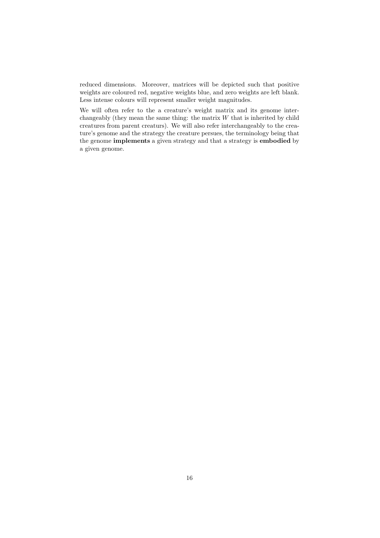reduced dimensions. Moreover, matrices will be depicted such that positive weights are coloured red, negative weights blue, and zero weights are left blank. Less intense colours will represent smaller weight magnitudes.

We will often refer to the a creature's weight matrix and its genome interchangeably (they mean the same thing: the matrix  $W$  that is inherited by child creatures from parent creaturs). We will also refer interchangeably to the creature's genome and the strategy the creature persues, the terminology being that the genome implements a given strategy and that a strategy is embodied by a given genome.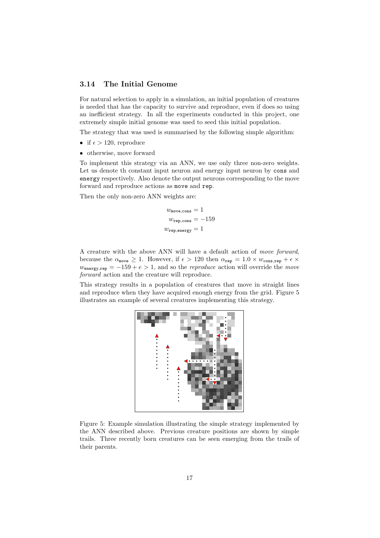### 3.14 The Initial Genome

For natural selection to apply in a simulation, an initial population of creatures is needed that has the capacity to survive and reproduce, even if does so using an inefficient strategy. In all the experiments conducted in this project, one extremely simple initial genome was used to seed this initial population.

The strategy that was used is summarised by the following simple algorithm:

- if  $\epsilon > 120$ , reproduce
- otherwise, move forward

To implement this strategy via an ANN, we use only three non-zero weights. Let us denote th constant input neuron and energy input neuron by cons and energy respectively. Also denote the output neurons corresponding to the move forward and reproduce actions as move and rep.

Then the only non-zero ANN weights are:

 $w_{\text{move}.\text{cons}} = 1$  $w_{\text{rep,cons}} = -159$  $w_{\text{rep,energy}} = 1$ 

A creature with the above ANN will have a default action of move forward, because the  $\alpha_{\text{move}} \geq 1$ . However, if  $\epsilon > 120$  then  $\alpha_{\text{rep}} = 1.0 \times w_{\text{cons,rep}} + \epsilon \times$  $w_{\text{energy,rep}} = -159 + e > 1$ , and so the *reproduce* action will override the *move* forward action and the creature will reproduce.

This strategy results in a population of creatures that move in straight lines and reproduce when they have acquired enough energy from the grid. Figure 5 illustrates an example of several creatures implementing this strategy.



Figure 5: Example simulation illustrating the simple strategy implemented by the ANN described above. Previous creature positions are shown by simple trails. Three recently born creatures can be seen emerging from the trails of their parents.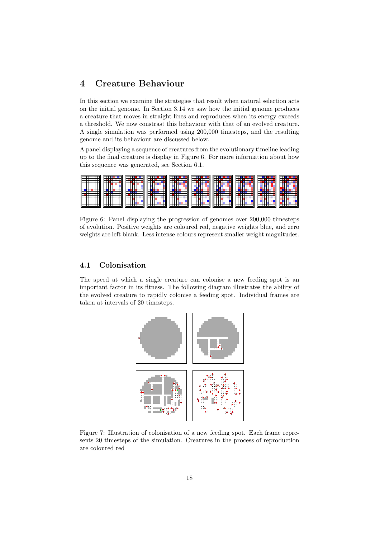# 4 Creature Behaviour

In this section we examine the strategies that result when natural selection acts on the initial genome. In Section 3.14 we saw how the initial genome produces a creature that moves in straight lines and reproduces when its energy exceeds a threshold. We now constrast this behaviour with that of an evolved creature. A single simulation was performed using 200,000 timesteps, and the resulting genome and its behaviour are discussed below.

A panel displaying a sequence of creatures from the evolutionary timeline leading up to the final creature is display in Figure 6. For more information about how this sequence was generated, see Section 6.1.

| ⊞<br>m<br>IШ<br>ILIT<br>╓┯<br>FН<br>FŦ<br>IП<br>╓┯ | н<br>mm | man a | Ħ<br>ш<br>ℸℸ | an ka |  |  |  |
|----------------------------------------------------|---------|-------|--------------|-------|--|--|--|
|----------------------------------------------------|---------|-------|--------------|-------|--|--|--|

Figure 6: Panel displaying the progression of genomes over 200,000 timesteps of evolution. Positive weights are coloured red, negative weights blue, and zero weights are left blank. Less intense colours represent smaller weight magnitudes.

# 4.1 Colonisation

The speed at which a single creature can colonise a new feeding spot is an important factor in its fitness. The following diagram illustrates the ability of the evolved creature to rapidly colonise a feeding spot. Individual frames are taken at intervals of 20 timesteps.



Figure 7: Illustration of colonisation of a new feeding spot. Each frame represents 20 timesteps of the simulation. Creatures in the process of reproduction are coloured red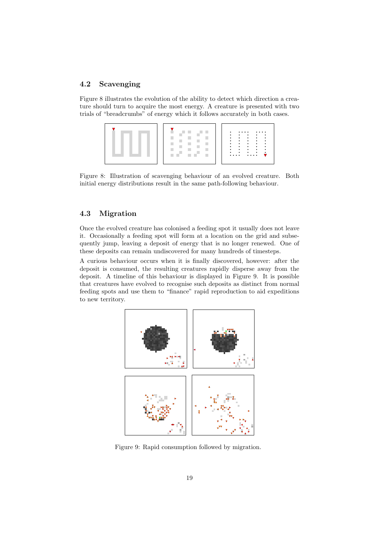# 4.2 Scavenging

Figure 8 illustrates the evolution of the ability to detect which direction a creature should turn to acquire the most energy. A creature is presented with two trials of "breadcrumbs" of energy which it follows accurately in both cases.

Figure 8: Illustration of scavenging behaviour of an evolved creature. Both initial energy distributions result in the same path-following behaviour.

# 4.3 Migration

Once the evolved creature has colonised a feeding spot it usually does not leave it. Occasionally a feeding spot will form at a location on the grid and subsequently jump, leaving a deposit of energy that is no longer renewed. One of these deposits can remain undiscovered for many hundreds of timesteps.

A curious behaviour occurs when it is finally discovered, however: after the deposit is consumed, the resulting creatures rapidly disperse away from the deposit. A timeline of this behaviour is displayed in Figure 9. It is possible that creatures have evolved to recognise such deposits as distinct from normal feeding spots and use them to "finance" rapid reproduction to aid expeditions to new territory.



Figure 9: Rapid consumption followed by migration.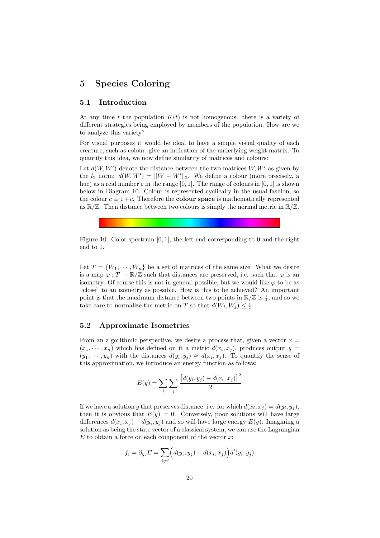# 5 Species Coloring

# 5.1 Introduction

At any time t the population  $K(t)$  is not homogenous: there is a variety of different strategies being employed by members of the population. How are we to analyze this variety?

For visual purposes it would be ideal to have a simple visual quality of each creature, such as colour, give an indication of the underlying weight matrix. To quantify this idea, we now define similarity of matrices and colours:

Let  $d(W, W')$  denote the distance between the two matrices  $W, W'$  as given by the  $l_2$  norm:  $d(W, W') = ||W - W'||_2$ . We define a colour (more precisely, a hue) as a real number c in the range  $[0, 1]$ . The range of colours in  $[0, 1]$  is shown below in Diagram 10. Colour is represented cyclically in the usual fashion, so the colour  $c \equiv 1+c$ . Therefore the **colour space** is mathematically represented as  $\mathbb{R}/\mathbb{Z}$ . Then distance between two colours is simply the normal metric in  $\mathbb{R}/\mathbb{Z}$ .

Figure 10: Color spectrum [0, 1], the left end corresponding to 0 and the right end to 1.

Let  $T = \{W_1, \dots, W_n\}$  be a set of matrices of the same size. What we desire is a map  $\varphi: T \to \mathbb{R}/\mathbb{Z}$  such that distances are preserved, i.e. such that  $\varphi$  is an isometry. Of course this is not in general possible, but we would like  $\varphi$  to be as "close" to an isometry as possible. How is this to be achieved? An important point is that the maximum distance between two points in  $\mathbb{R}/\mathbb{Z}$  is  $\frac{1}{2}$ , and so we take care to normalize the metric on T so that  $d(W_i, W_j) \leq \frac{1}{2}$ .

# 5.2 Approximate Isometries

From an algorithmic perspective, we desire a process that, given a vector  $x =$  $(x_1, \dots, x_n)$  which has defined on it a metric  $d(x_i, x_j)$ , produces output  $y =$  $(y_1, \dots, y_n)$  with the distances  $d(y_i, y_j) \approx d(x_i, x_j)$ . To quantify the sense of this approximation, we introduce an energy function as follows:

$$
E(y) = \sum_{i} \sum_{j} \frac{[d(y_i, y_j) - d(x_i, x_j)]^2}{2}
$$

If we have a solution y that preserves distance, i.e. for which  $d(x_i, x_j) = d(y_i, y_j)$ , then it is obvious that  $E(y) = 0$ . Conversely, poor solutions will have large differences  $d(x_i, x_j) - d(y_i, y_j)$  and so will have large energy  $E(y)$ . Imagining a solution as being the state vector of a classical system, we can use the Lagrangian  $E$  to obtain a force on each component of the vector  $x$ :

$$
f_i = \partial_{y_i} E = \sum_{j \neq i} \left( d(y_i, y_j) - d(x_i, x_j) \right) d'(y_i, y_j)
$$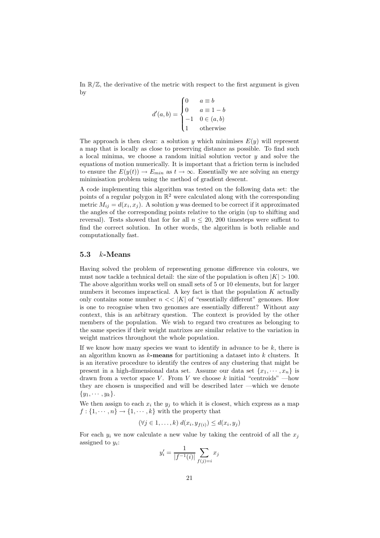In  $\mathbb{R}/\mathbb{Z}$ , the derivative of the metric with respect to the first argument is given by

$$
d'(a,b) = \begin{cases} 0 & a \equiv b \\ 0 & a \equiv 1-b \\ -1 & 0 \in (a,b) \\ 1 & \text{otherwise} \end{cases}
$$

The approach is then clear: a solution y which minimises  $E(y)$  will represent a map that is locally as close to preserving distance as possible. To find such a local minima, we choose a random initial solution vector  $y$  and solve the equations of motion numerically. It is important that a friction term is included to ensure the  $E(y(t)) \to E_{min}$  as  $t \to \infty$ . Essentially we are solving an energy minimisation problem using the method of gradient descent.

A code implementing this algorithm was tested on the following data set: the points of a regular polygon in  $\mathbb{R}^2$  were calculated along with the corresponding metric  $M_{ij} = d(x_i, x_j)$ . A solution y was deemed to be correct if it approximated the angles of the corresponding points relative to the origin (up to shifting and reversal). Tests showed that for for all  $n \leq 20$ , 200 timesteps were suffient to find the correct solution. In other words, the algorithm is both reliable and computationally fast.

# 5.3  $k$ -Means

Having solved the problem of representing genome difference via colours, we must now tackle a technical detail: the size of the population is often  $|K| > 100$ . The above algorithm works well on small sets of 5 or 10 elements, but for larger numbers it becomes impractical. A key fact is that the population  $K$  actually only contains some number  $n \ll |K|$  of "essentially different" genomes. How is one to recognise when two genomes are essentially different? Without any context, this is an arbitrary question. The context is provided by the other members of the population. We wish to regard two creatures as belonging to the same species if their weight matrixes are similar relative to the variation in weight matrices throughout the whole population.

If we know how many species we want to identify in advance to be  $k$ , there is an algorithm known as  $k$ -means for partitioning a dataset into  $k$  clusters. It is an iterative procedure to identify the centres of any clustering that might be present in a high-dimensional data set. Assume our data set  $\{x_1, \dots, x_n\}$  is drawn from a vector space V. From V we choose k initial "centroids" —how they are chosen is unspecified and will be described later —which we denote  $\{y_1, \cdots, y_k\}.$ 

We then assign to each  $x_i$  the  $y_j$  to which it is closest, which express as a map  $f: \{1, \dots, n\} \to \{1, \dots, k\}$  with the property that

$$
(\forall j \in 1, \ldots, k) d(x_i, y_{f(i)}) \leq d(x_i, y_j)
$$

For each  $y_i$  we now calculate a new value by taking the centroid of all the  $x_j$ assigned to  $y_i$ :

$$
y_i' = \frac{1}{|f^{-1}(i)|} \sum_{f(j)=i} x_j
$$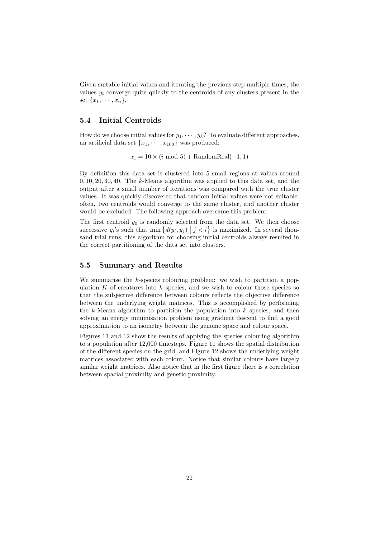Given suitable initial values and iterating the previous step multiple times, the values  $y_i$  converge quite quickly to the centroids of any clusters present in the set  $\{x_1, \cdots, x_n\}.$ 

# 5.4 Initial Centroids

How do we choose initial values for  $y_1, \dots, y_k$ ? To evaluate different approaches, an artificial data set  $\{x_1, \dots, x_{100}\}$  was produced:

 $x_i = 10 \times (i \mod 5) + \text{RandomReal}(-1, 1)$ 

By definition this data set is clustered into 5 small regions at values around  $0, 10, 20, 30, 40$ . The k-Means algorithm was applied to this data set, and the output after a small number of iterations was compared with the true cluster values. It was quickly discovered that random initial values were not suitable: often, two centroids would converge to the same cluster, and another cluster would be excluded. The following approach overcame this problem:

The first centroid  $y_0$  is randomly selected from the data set. We then choose successive  $y_i$ 's such that  $\min \{d(y_i, y_j) | j < i\}$  is maximized. In several thousand trial runs, this algorithm for choosing initial centroids always resulted in the correct partitioning of the data set into clusters.

# 5.5 Summary and Results

We summarise the  $k$ -species colouring problem: we wish to partition a population K of creatures into k species, and we wish to colour those species so that the subjective difference between colours reflects the objective difference between the underlying weight matrices. This is accomplished by performing the  $k$ -Means algorithm to partition the population into  $k$  species, and then solving an energy minimisation problem using gradient descent to find a good approximation to an isometry between the genome space and colour space.

Figures 11 and 12 show the results of applying the species colouring algorithm to a population after 12,000 timesteps. Figure 11 shows the spatial distribution of the different species on the grid, and Figure 12 shows the underlying weight matrices associated with each colour. Notice that similar colours have largely similar weight matrices. Also notice that in the first figure there is a correlation between spacial proximity and genetic proximity.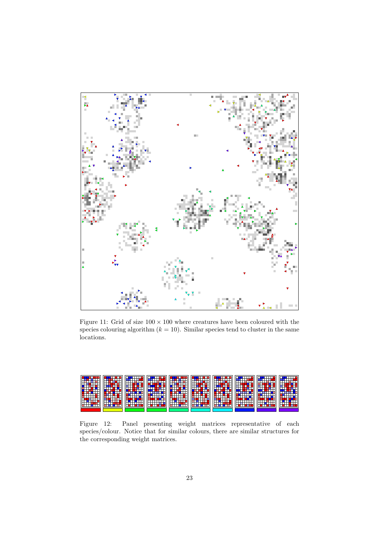

Figure 11: Grid of size  $100 \times 100$  where creatures have been coloured with the species colouring algorithm  $(k = 10)$ . Similar species tend to cluster in the same locations.



Figure 12: Panel presenting weight matrices representative of each species/colour. Notice that for similar colours, there are similar structures for the corresponding weight matrices.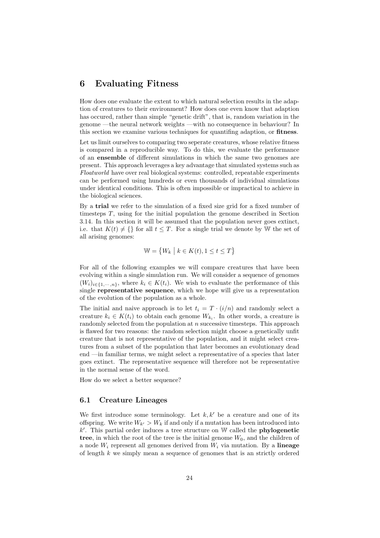# 6 Evaluating Fitness

How does one evaluate the extent to which natural selection results in the adaption of creatures to their environment? How does one even know that adaption has occured, rather than simple "genetic drift", that is, random variation in the genome —the neural network weights —with no consequence in behaviour? In this section we examine various techniques for quantifing adaption, or fitness.

Let us limit ourselves to comparing two seperate creatures, whose relative fitness is compared in a reproducible way. To do this, we evaluate the performance of an ensemble of different simulations in which the same two genomes are present. This approach leverages a key advantage that simulated systems such as Floatworld have over real biological systems: controlled, repeatable experiments can be performed using hundreds or even thousands of individual simulations under identical conditions. This is often impossible or impractical to achieve in the biological sciences.

By a trial we refer to the simulation of a fixed size grid for a fixed number of timesteps  $T$ , using for the initial population the genome described in Section 3.14. In this section it will be assumed that the population never goes extinct, i.e. that  $K(t) \neq \{\}\$ for all  $t \leq T$ . For a single trial we denote by W the set of all arising genomes:

$$
\mathbb{W}=\left\{W_k \ \middle|\ k\in K(t), 1\leq t\leq T\right\}
$$

For all of the following examples we will compare creatures that have been evolving within a single simulation run. We will consider a sequence of genomes  $(W_i)_{i \in \{1,\dots,n\}}$ , where  $k_i \in K(t_i)$ . We wish to evaluate the performance of this single representative sequence, which we hope will give us a representation of the evolution of the population as a whole.

The initial and naive approach is to let  $t_i = T \cdot (i/n)$  and randomly select a creature  $k_i \in K(t_i)$  to obtain each genome  $W_{k_i}$ . In other words, a creature is randomly selected from the population at  $n$  successive timesteps. This approach is flawed for two reasons: the random selection might choose a genetically unfit creature that is not representative of the population, and it might select creatures from a subset of the population that later becomes an evolutionary dead end —in familiar terms, we might select a representative of a species that later goes extinct. The representative sequence will therefore not be representative in the normal sense of the word.

How do we select a better sequence?

# 6.1 Creature Lineages

We first introduce some terminology. Let  $k, k'$  be a creature and one of its offspring. We write  $W_{k'} > W_k$  if and only if a mutation has been introduced into  $k'$ . This partial order induces a tree structure on W called the **phylogenetic** tree, in which the root of the tree is the initial genome  $W_0$ , and the children of a node  $W_i$  represent all genomes derived from  $W_i$  via mutation. By a lineage of length  $k$  we simply mean a sequence of genomes that is an strictly ordered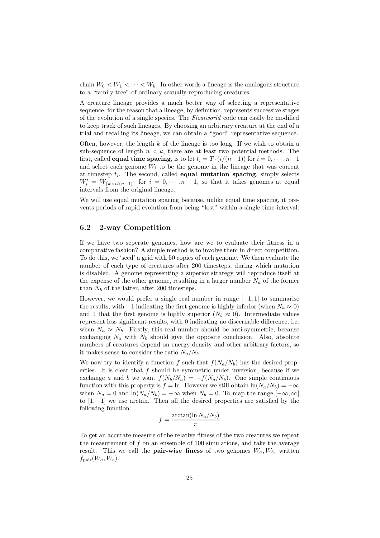chain  $W_0 < W_1 < \cdots < W_k$ . In other words a lineage is the analogous structure to a "family tree" of ordinary sexually-reproducing creatures.

A creature lineage provides a much better way of selecting a representative sequence, for the reason that a lineage, by definition, represents successive stages of the evolution of a single species. The Floatworld code can easily be modified to keep track of such lineages. By choosing an arbitrary creature at the end of a trial and recalling its lineage, we can obtain a "good" representative sequence.

Often, however, the length  $k$  of the lineage is too long. If we wish to obtain a sub-sequence of length  $n < k$ , there are at least two potential methods. The first, called **equal time spacing**, is to let  $t_i = T \cdot (i/(n-1))$  for  $i = 0, \dots, n-1$ and select each genome  $W_i$  to be the genome in the lineage that was current at timestep  $t_i$ . The second, called **equal mutation spacing**, simply selects  $W'_i = W_{\lceil k \times i/(n-1) \rceil}$  for  $i = 0, \dots, n-1$ , so that it takes genomes at equal intervals from the original lineage.

We will use equal mutation spacing because, unlike equal time spacing, it prevents periods of rapid evolution from being "lost" within a single time-interval.

# 6.2 2-way Competition

If we have two seperate genomes, how are we to evaluate their fitness in a comparative fashion? A simple method is to involve them in direct competition. To do this, we 'seed' a grid with 50 copies of each genome. We then evaluate the number of each type of creatures after 200 timesteps, during which mutation is disabled. A genome representing a superior strategy will reproduce itself at the expense of the other genome, resulting in a larger number  $N_a$  of the former than  $N_b$  of the latter, after 200 timesteps.

However, we would prefer a single real number in range  $[-1, 1]$  to summarise the results, with  $-1$  indicating the first genome is highly inferior (when  $N_a \approx 0$ ) and 1 that the first genome is highly superior  $(N_b \approx 0)$ . Intermediate values represent less significant results, with 0 indicating no discernable difference, i.e. when  $N_a \approx N_b$ . Firstly, this real number should be anti-symmetric, because exchanging  $N_a$  with  $N_b$  should give the opposite conclusion. Also, absolute numbers of creatures depend on energy density and other arbitrary factors, so it makes sense to consider the ratio  $N_a/N_b$ .

We now try to identify a function f such that  $f(N_a/N_b)$  has the desired properties. It is clear that f should be symmetric under inversion, because if we exchange a and b we want  $f(N_b/N_a) = -f(N_a/N_b)$ . One simple continuous function with this property is  $f = \ln$ . However we still obtain  $\ln(N_a/N_b) = -\infty$ when  $N_a = 0$  and  $\ln(N_a/N_b) = +\infty$  when  $N_b = 0$ . To map the range  $[-\infty, \infty]$ to [1, −1] we use arctan. Then all the desired properties are satisfied by the following function:

$$
f = \frac{\arctan(\ln N_a/N_b)}{\pi}
$$

To get an accurate measure of the relative fitness of the two creatures we repeat the measurement of  $f$  on an ensemble of 100 simulations, and take the average result. This we call the **pair-wise finess** of two genomes  $W_a, W_b$ , written  $f_{\text{pair}}(W_a, W_b).$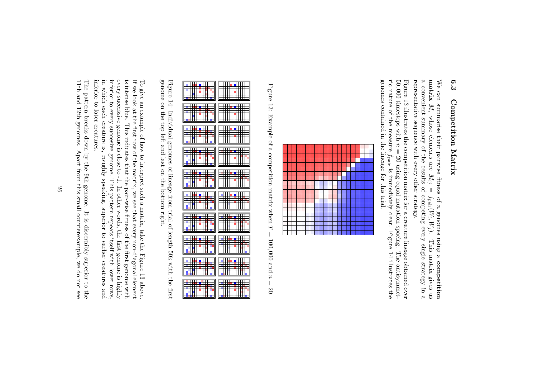# $6.3$ 6.3 Competition Matrix Competition Matrix

representative sequence with every other strategy. representative sequence with every other strategy. a convenient summary of the results of competing every single strategy in a matrix We can summarise their pairwise fitness of We can summarise their pairwise fitness of  $n$  genomes using a competition M, whose elements are  $M_{ij}$  $\parallel$  $f_{\rm pair}$ (Wigenomes using a , Wj ). This matrix gives us competition

genomes contained in the lineage for this trial. genomes contained in the lineage for this trial. ric nature of the measure 50, Figure 13 illustrates the competition matrix for a creature lineage obtained over Figure 13 illustrates the competition matrix for a creature 000 timesteps with  $\boldsymbol{z}$ = 20 using equal mutation spacing. The antisymmet $f_{\rm pair}$ is immediately clear. Figure 14 illustrates the lineage obtained over The antisymmet-



Figure 13: Example of a competition matrix when  $\overline{L}$ = 100, 000 and  $z$ = 20.



genome on the top left and last on the bottom right. genome on the top left and last on the bottom right. Figure 14: Individual genomes of lineage from trial of length 50k with the first Figure 14: Individual genomes of lineage from trial of length 50k with the first

inferior to later creatures inferior to later creatures. in which each creature is, roughly speaking, superior to earlier creatures and in which each creature is, roughly speaking, superior to earlier creatures and inferior to every succesive genome. inferior to every succesive genome. This pattern repeats itself with lower rows, every successive genome is close to -1. In other words, the first genome is highly every successive genome is close to -1. In other words, the first genome is highly is intense blue. This indicates that the pair-wise fitness of the first genome with is intense blue. This indicates that the pair-wise fitness of If we look at the first row of the matrix, we see that every non-diagonal element If we look at the first row of the matrix, we see that every non-diagonal element To give an example of how to interpret such a matrix, take the F To give an example of how to interpret such a matrix, take the Figure 13 above This pattern repeats itself with lower rows the first genome with igure 13 above.

11th and 12th genomes. Apart from this small counterexample, we do not see 11th and 12th genomes. Apart from this small counterexample, we do not see The pattern breaks down by the 9th genome. The pattern breaks down by the 9th genome. It is discernibly s It is discernibly superior to the uperior to the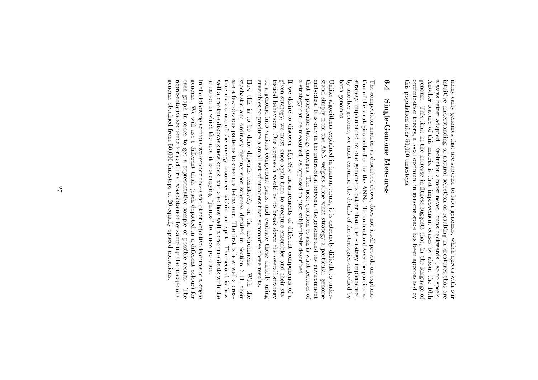always better adapted. Evolution almost never "runs backwards", so to speak. this population after 50,000 timesteps. this population after 50,000 timesteps. optimization theory, a local optimum in genome space has been approached by optimization theory, a local optimum in genome space has been approached by genome. genome. This limit in the increase in fitness suggests that, in the language of Another feature of this matrix is that improvement ceases by about the 16th Another feature of this matrix is that improvement ceases by always better adapted. Evolution almost never "runs backwards", so to speak. intuitive understanding of natural selection as resulting in creatures that are intuitive understanding of natural selection as resulting many early genomes that are superior to later genomes, which agrees with our many early genomes that are superior to later genomes, which This limit in the increase in fitness suggests that, in the language of in creatures that are agrees with our about the 16th

# $6.4$ 6.4 Single-Genome Measures Single-Genome Measures

both genomes. both genomes. by another genome, we must examine the details of the strategies embodied by by another genome, we must examine the details of the strategies embodied by strategy implemented by one genome is better than the strategy implemented strategy implemented by one genome is better than the strategy implemented tion of the strategies embodied by the ANNs. To understand how the particular tion of the strategies embodied by the ANNs. To understand The competition matrix, as described above, does not itself provide an explana-The competition matrix, as described above, does not itself provide an explanathe particular

that a particular stategy emerges. The next question to ask is what features of a strategy can be measured, as opposed to just subjectively described. a strategy can be measured, as opposed to just subjectively described. that a particular stategy emerges. The next question to ask is what features of embodies. It is only in the interaction between the genome and the environment embodies. It is only in the interaction between the genome and the environment stand simply from the ANN weights alone what strategy a particular genome stand simply from the ANN weights alone what strategy a particular genome Unlike algorithms explained in human terms, it is extremely difficult to under-Unlike algorithms explained in human terms, it is extremely difficult to under-

ensembles to produce a small set of numbers that summarise these results. ensembles to produce a small set of numbers that summarise these results. of a genome into various component parts, and evaluate these directly using of a genome into various component parts, and evaluate these tistical behaviour. One approach would be to break down the overall strategy tistical behaviour. One approach would be to break down the overall strategy given strategy, we must once again turn to creature ensembles and their stagiven strategy, we must once again turn to creature ensembles and their sta-If we desire to discover *objective* measurements of different components of a If we desire to discover measurements of different components of a directly using

situation in which the spot it is occupying "jumps" to a new position. situation in which the spot it is occupying "jumps" to a new position. ture makes use of the energy resources within one spot. The second is how well a creature discovers new spots, and also how well a creature deals with the well a creature discovers new spots, and also how well a creature deals with the ture makes use of the energy resources within one spot. The second is how are a few obvious patterns to creature behaviour. The first is how well a creaare a few obvious patterns to creature behaviour. The first is stochastic and ordinary feeding spot schemes detailed in Section 3.11, their stochastic and ordinary feeding spot schemes detailed in Section 3.11, their How this is to be done depends sensitively on the environment. How this is to be done depends sensitively on the environment. With the how well a crea-With the

genome obtained from 50,000 timesteps at 20 equally spaced mutations genome obtained from 50,000 timesteps at 20 equally spaced mutations. representative sequence for each trial was obtained by sampling the lineage of a representative sequence for each trial was obtained by sampling the lineage of a each graph in order to get a representative sample of possible results. each graph in order to get a representative sample of possible results. The genome. We will use 5 different trials (each depicted in a different colour) for genome. We will use 5 different trials (each depicted in a different colour) for In the following sections we explore these and other objective features of a single In the following sections we explore these and other objective features of a single  $\rm The$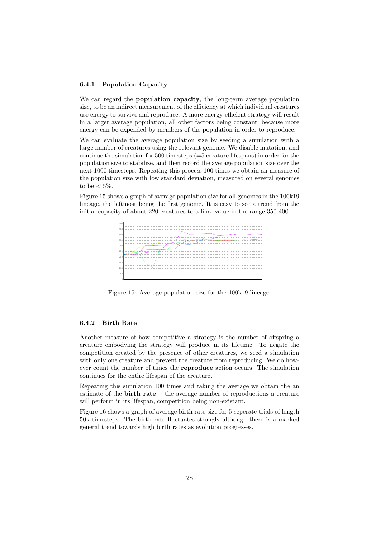### 6.4.1 Population Capacity

We can regard the **population capacity**, the long-term average population size, to be an indirect measurement of the efficiency at which individual creatures use energy to survive and reproduce. A more energy-efficient strategy will result in a larger average population, all other factors being constant, because more energy can be expended by members of the population in order to reproduce.

We can evaluate the average population size by seeding a simulation with a large number of creatures using the relevant genome. We disable mutation, and continue the simulation for 500 timesteps (=5 creature lifespans) in order for the population size to stabilize, and then record the average population size over the next 1000 timesteps. Repeating this process 100 times we obtain an measure of the population size with low standard deviation, measured on several genomes to be  $< 5\%$ .

Figure 15 shows a graph of average population size for all genomes in the 100k19 lineage, the leftmost being the first genome. It is easy to see a trend from the initial capacity of about 220 creatures to a final value in the range 350-400.



Figure 15: Average population size for the 100k19 lineage.

### 6.4.2 Birth Rate

Another measure of how competitive a strategy is the number of offspring a creature embodying the strategy will produce in its lifetime. To negate the competition created by the presence of other creatures, we seed a simulation with only one creature and prevent the creature from reproducing. We do however count the number of times the reproduce action occurs. The simulation continues for the entire lifespan of the creature.

Repeating this simulation 100 times and taking the average we obtain the an estimate of the birth rate —the average number of reproductions a creature will perform in its lifespan, competition being non-existant.

Figure 16 shows a graph of average birth rate size for 5 seperate trials of length 50k timesteps. The birth rate fluctuates strongly although there is a marked general trend towards high birth rates as evolution progresses.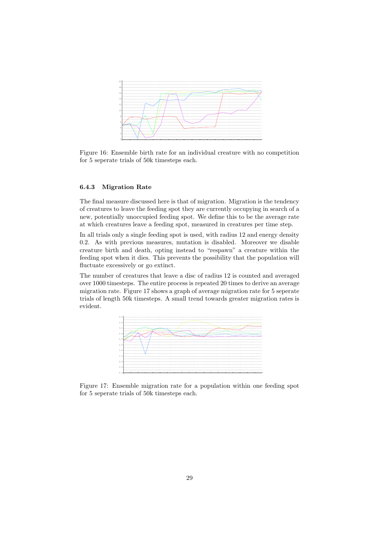

Figure 16: Ensemble birth rate for an individual creature with no competition for 5 seperate trials of 50k timesteps each.

# 6.4.3 Migration Rate

The final measure discussed here is that of migration. Migration is the tendency of creatures to leave the feeding spot they are currently occupying in search of a new, potentially unoccupied feeding spot. We define this to be the average rate at which creatures leave a feeding spot, measured in creatures per time step.

In all trials only a single feeding spot is used, with radius 12 and energy density 0.2. As with previous measures, mutation is disabled. Moreover we disable creature birth and death, opting instead to "respawn" a creature within the feeding spot when it dies. This prevents the possibility that the population will fluctuate excessively or go extinct.

The number of creatures that leave a disc of radius 12 is counted and averaged over 1000 timesteps. The entire process is repeated 20 times to derive an average migration rate. Figure 17 shows a graph of average migration rate for 5 seperate trials of length 50k timesteps. A small trend towards greater migration rates is evident.



Figure 17: Ensemble migration rate for a population within one feeding spot for 5 seperate trials of 50k timesteps each.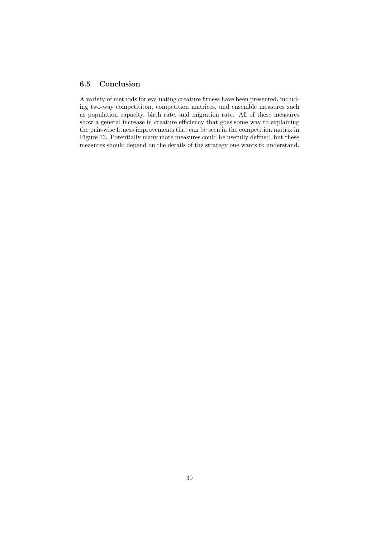# 6.5 Conclusion

A variety of methods for evaluating creature fitness have been presented, including two-way competititon, competition matrices, and ensemble measures such as population capacity, birth rate, and migration rate. All of these measures show a general increase in creature efficiency that goes some way to explaining the pair-wise fitness improvements that can be seen in the competition matrix in Figure 13. Potentially many more measures could be usefully defined, but these measures should depend on the details of the strategy one wants to understand.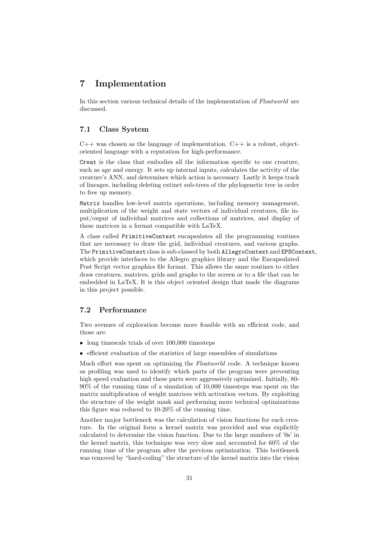# 7 Implementation

In this section various technical details of the implementation of Floatworld are discussed.

# 7.1 Class System

 $C++$  was chosen as the language of implementation.  $C++$  is a robust, objectoriented language with a reputation for high-performance.

Creat is the class that embodies all the information specific to one creature, such as age and energy. It sets up internal inputs, calculates the activity of the creature's ANN, and determines which action is necessary. Lastly it keeps track of lineages, including deleting extinct sub-trees of the phylogenetic tree in order to free up memory.

Matrix handles low-level matrix operations, including memory management, multiplication of the weight and state vectors of individual creatures, file input/ouput of individual matrices and collections of matrices, and display of these matrices in a format compatible with LaTeX.

A class called PrimitiveContext encapsulates all the programming routines that are necessary to draw the grid, individual creatures, and various graphs. The PrimitiveContext class is sub-classed by both AllegroContext and EPSContext, which provide interfaces to the Allegro graphics library and the Encapsulated Post Script vector graphics file format. This allows the same routines to either draw creatures, matrices, grids and graphs to the screen or to a file that can be embedded in LaTeX. It is this object oriented design that made the diagrams in this project possible.

# 7.2 Performance

Two avenues of exploration become more feasible with an efficient code, and those are:

- long timescale trials of over 100,000 timesteps
- efficient evaluation of the statistics of large ensembles of simulations

Much effort was spent on optimizing the Floatworld code. A technique known as profiling was used to identify which parts of the program were preventing high speed evaluation and these parts were aggressively optimized. Initially, 80- 90% of the running time of a simulation of 10,000 timesteps was spent on the matrix multiplication of weight matrices with activation vectors. By exploiting the structure of the weight mask and performing more technical optimizations this figure was reduced to 10-20% of the running time.

Another major bottleneck was the calculation of vision functions for each creature. In the original form a kernel matrix was provided and was explicitly calculated to determine the vision function. Due to the large numbers of '0s' in the kernel matrix, this technique was very slow and accounted for 60% of the running time of the program after the previous optimization. This bottleneck was removed by "hard-coding" the structure of the kernel matrix into the vision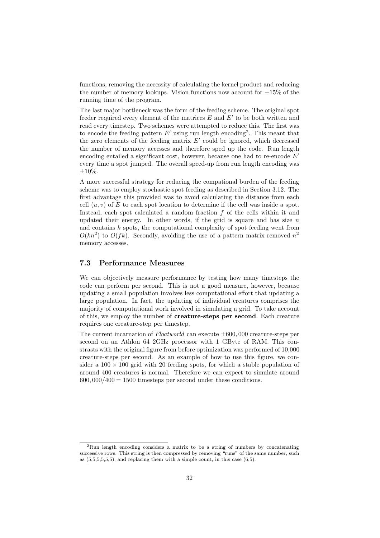functions, removing the necessity of calculating the kernel product and reducing the number of memory lookups. Vision functions now account for  $\pm 15\%$  of the running time of the program.

The last major bottleneck was the form of the feeding scheme. The original spot feeder required every element of the matrices  $E$  and  $E'$  to be both written and read every timestep. Two schemes were attempted to reduce this. The first was to encode the feeding pattern  $E'$  using run length encoding<sup>2</sup>. This meant that the zero elements of the feeding matrix  $E'$  could be ignored, which decreased the number of memory accesses and therefore sped up the code. Run length encoding entailed a significant cost, however, because one had to re-encode  $E'$ every time a spot jumped. The overall speed-up from run length encoding was ±10%.

A more successful strategy for reducing the compational burden of the feeding scheme was to employ stochastic spot feeding as described in Section 3.12. The first advantage this provided was to avoid calculating the distance from each cell  $(u, v)$  of E to each spot location to determine if the cell was inside a spot. Instead, each spot calculated a random fraction  $f$  of the cells within it and updated their energy. In other words, if the grid is square and has size  $n$ and contains k spots, the computational complexity of spot feeding went from  $O(kn^2)$  to  $O(fk)$ . Secondly, avoiding the use of a pattern matrix removed  $n^2$ memory accesses.

# 7.3 Performance Measures

We can objectively measure performance by testing how many timesteps the code can perform per second. This is not a good measure, however, because updating a small population involves less computational effort that updating a large population. In fact, the updating of individual creatures comprises the majority of computational work involved in simulating a grid. To take account of this, we employ the number of creature-steps per second. Each creature requires one creature-step per timestep.

The current incarnation of  $Floatworld$  can execute  $\pm 600,000$  creature-steps per second on an Athlon 64 2GHz processor with 1 GByte of RAM. This constrasts with the original figure from before optimization was performed of 10,000 creature-steps per second. As an example of how to use this figure, we consider a  $100 \times 100$  grid with 20 feeding spots, for which a stable population of around 400 creatures is normal. Therefore we can expect to simulate around  $600,000/400 = 1500$  timesteps per second under these conditions.

<sup>2</sup>Run length encoding considers a matrix to be a string of numbers by concatenating successive rows. This string is then compressed by removing "runs" of the same number, such as  $(5.5,5,5,5,5)$ , and replacing them with a simple count, in this case  $(6.5)$ .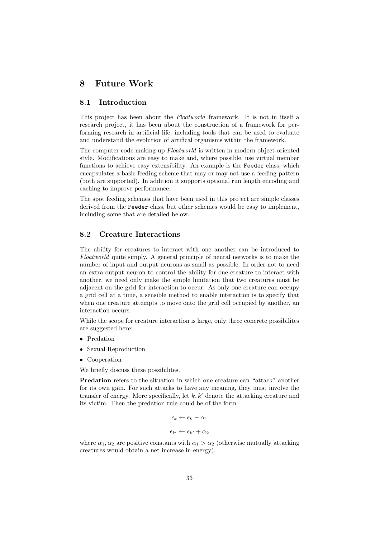# 8 Future Work

# 8.1 Introduction

This project has been about the Floatworld framework. It is not in itself a research project, it has been about the construction of a framework for performing research in artificial life, including tools that can be used to evaluate and understand the evolution of artifical organisms within the framework.

The computer code making up Floatworld is written in modern object-oriented style. Modifications are easy to make and, where possible, use virtual member functions to achieve easy extensibility. An example is the Feeder class, which encapsulates a basic feeding scheme that may or may not use a feeding pattern (both are supported). In addition it supports optional run length encoding and caching to improve performance.

The spot feeding schemes that have been used in this project are simple classes derived from the Feeder class, but other schemes would be easy to implement, including some that are detailed below.

# 8.2 Creature Interactions

The ability for creatures to interact with one another can be introduced to Floatworld quite simply. A general principle of neural networks is to make the number of input and output neurons as small as possible. In order not to need an extra output neuron to control the ability for one creature to interact with another, we need only make the simple limitation that two creatures must be adjacent on the grid for interaction to occur. As only one creature can occupy a grid cell at a time, a sensible method to enable interaction is to specify that when one creature attempts to move onto the grid cell occupied by another, an interaction occurs.

While the scope for creature interaction is large, only three concrete possibilites are suggested here:

- Predation
- Sexual Reproduction
- Cooperation

We briefly discuss these possibilites.

Predation refers to the situation in which one creature can "attack" another for its own gain. For such attacks to have any meaning, they must involve the transfer of energy. More specifically, let  $k, k'$  denote the attacking creature and its victim. Then the predation rule could be of the form

$$
\epsilon_k \leftarrow \epsilon_k - \alpha_1
$$

$$
\epsilon_{k'} \leftarrow \epsilon_{k'} + \alpha_2
$$

where  $\alpha_1, \alpha_2$  are positive constants with  $\alpha_1 > \alpha_2$  (otherwise mutually attacking creatures would obtain a net increase in energy).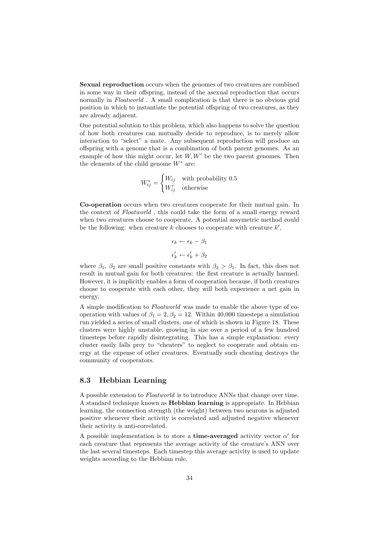Sexual reproduction occurs when the genomes of two creatures are combined in some way in their offspring, instead of the asexual reproduction that occurs normally in Floatworld. A small complication is that there is no obvious grid position in which to instantiate the potential offspring of two creatures, as they are already adjacent.

One potential solution to this problem, which also happens to solve the question of how both creatures can mutually decide to reproduce, is to merely allow interaction to "select" a mate. Any subsequent reproduction will produce an offspring with a genome that is a combination of both parent genomes. As an example of how this might occur, let  $W, W'$  be the two parent genomes. Then the elements of the child genome  $W^*$  are:

$$
W_{ij}^* = \begin{cases} W_{ij} & \text{with probability } 0.5\\ W_{ij}' & \text{otherwise} \end{cases}
$$

Co-operation occurs when two creatures cooperate for their mutual gain. In the context of Floatworld, this could take the form of a small energy reward when two creatures choose to cooperate. A potential assymetric method could be the following: when creature  $k$  chooses to cooperate with creature  $k'$ ,

$$
\epsilon_k \leftarrow \epsilon_k - \beta_1
$$

$$
\epsilon'_k \leftarrow \epsilon'_k + \beta_2
$$

where  $\beta_1$ ,  $\beta_2$  are small positive constants with  $\beta_2 > \beta_1$ . In fact, this does not result in mutual gain for both creatures: the first creature is actually harmed. However, it is implicitly enables a form of cooperation because, if both creatures choose to cooperate with each other, they will both experience a net gain in energy.

A simple modification to Floatworld was made to enable the above type of cooperation with values of  $\beta_1 = 2, \beta_2 = 12$ . Within 40,000 timesteps a simulation run yielded a series of small clusters, one of which is shown in Figure 18. These clusters were highly unstable, growing in size over a period of a few hundred timesteps before rapidly disintegrating. This has a simple explanation: every cluster easily falls prey to "cheaters" to neglect to cooperate and obtain energy at the expense of other creatures. Eventually such cheating destroys the community of cooperators.

### 8.3 Hebbian Learning

A possible extension to Floatworld is to introduce ANNs that change over time. A standard technique known as **Hebbian learning** is appropriate. In Hebbian learning, the connection strength (the weight) between two neurons is adjusted positive whenever their activity is correlated and adjusted negative whenever their activity is anti-correlated.

A possible implementation is to store a **time-averaged** activity vector  $\alpha'$  for each creature that represents the average activity of the creature's ANN over the last several timesteps. Each timestep this average activity is used to update weights according to the Hebbian rule.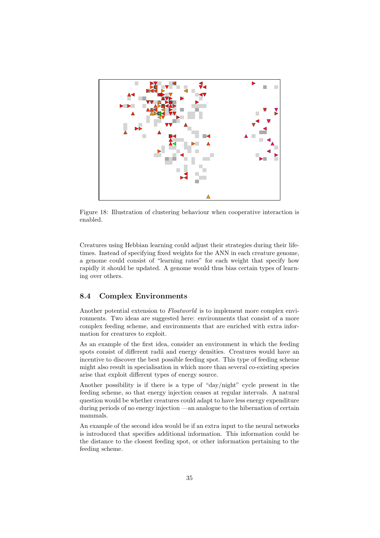

Figure 18: Illustration of clustering behaviour when cooperative interaction is enabled.

Creatures using Hebbian learning could adjust their strategies during their lifetimes. Instead of specifying fixed weights for the ANN in each creature genome, a genome could consist of "learning rates" for each weight that specify how rapidly it should be updated. A genome would thus bias certain types of learning over others.

# 8.4 Complex Environments

Another potential extension to *Floatworld* is to implement more complex environments. Two ideas are suggested here: environments that consist of a more complex feeding scheme, and environments that are enriched with extra information for creatures to exploit.

As an example of the first idea, consider an environment in which the feeding spots consist of different radii and energy densities. Creatures would have an incentive to discover the best possible feeding spot. This type of feeding scheme might also result in specialisation in which more than several co-existing species arise that exploit different types of energy source.

Another possibility is if there is a type of "day/night" cycle present in the feeding scheme, so that energy injection ceases at regular intervals. A natural question would be whether creatures could adapt to have less energy expenditure during periods of no energy injection —an analogue to the hibernation of certain mammals.

An example of the second idea would be if an extra input to the neural networks is introduced that specifies additional information. This information could be the distance to the closest feeding spot, or other information pertaining to the feeding scheme.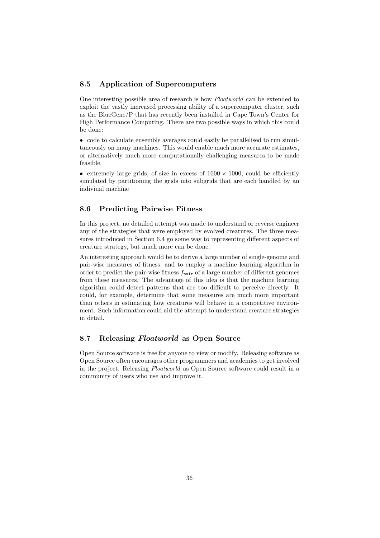# 8.5 Application of Supercomputers

One interesting possible area of research is how Floatworld can be extended to exploit the vastly increased processing ability of a supercomputer cluster, such as the BlueGene/P that has recently been installed in Cape Town's Center for High Performance Computing. There are two possible ways in which this could be done:

• code to calculate ensemble averages could easily be parallelised to run simultaneously on many machines. This would enable much more accurate estimates, or alternatively much more computationally challenging measures to be made feasible.

• extremely large grids, of size in excess of  $1000 \times 1000$ , could be efficiently simulated by partitioning the grids into subgrids that are each handled by an indiviual machine

# 8.6 Predicting Pairwise Fitness

In this project, no detailed attempt was made to understand or reverse engineer any of the strategies that were employed by evolved creatures. The three measures introduced in Section 6.4 go some way to representing different aspects of creature strategy, but much more can be done.

An interesting approach would be to derive a large number of single-genome and pair-wise measures of fitness, and to employ a machine learning algorithm in order to predict the pair-wise fitness  $f_{\text{pair}}$  of a large number of different genomes from these measures. The advantage of this idea is that the machine learning algorithm could detect patterns that are too difficult to perceive directly. It could, for example, determine that some measures are much more important than others in estimating how creatures will behave in a competitive environment. Such information could aid the attempt to understand creature strategies in detail.

### 8.7 Releasing Floatworld as Open Source

Open Source software is free for anyone to view or modify. Releasing software as Open Source often encourages other programmers and academics to get involved in the project. Releasing Floatworld as Open Source software could result in a community of users who use and improve it.